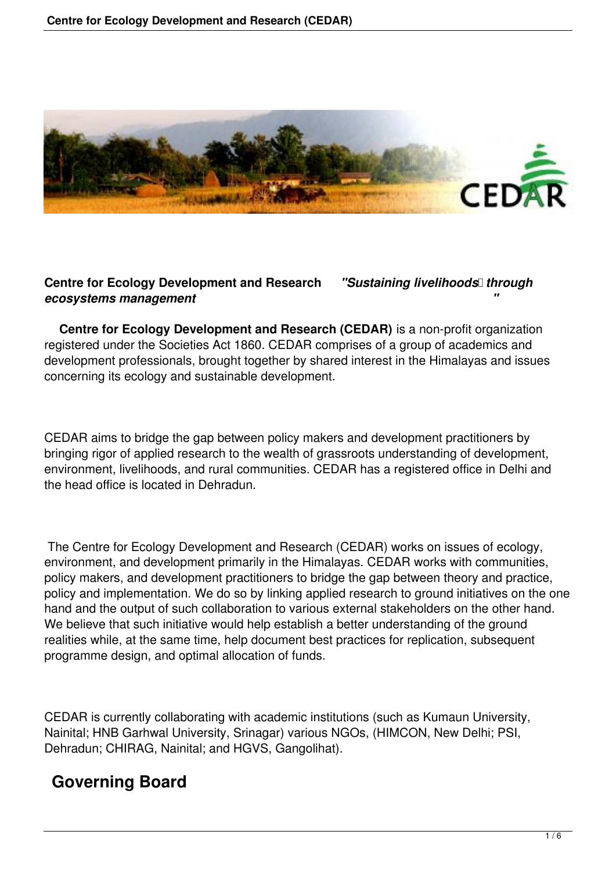

#### **Centre for Ecology Development and Research** *"Sustaining livelihoods through ecosystems management "*

 **Centre for Ecology Development and Research (CEDAR)** is a non-profit organization registered under the Societies Act 1860. CEDAR comprises of a group of academics and development professionals, brought together by shared interest in the Himalayas and issues concerning its ecology and sustainable development.

CEDAR aims to bridge the gap between policy makers and development practitioners by bringing rigor of applied research to the wealth of grassroots understanding of development, environment, livelihoods, and rural communities. CEDAR has a registered office in Delhi and the head office is located in Dehradun.

 The Centre for Ecology Development and Research (CEDAR) works on issues of ecology, environment, and development primarily in the Himalayas. CEDAR works with communities, policy makers, and development practitioners to bridge the gap between theory and practice, policy and implementation. We do so by linking applied research to ground initiatives on the one hand and the output of such collaboration to various external stakeholders on the other hand. We believe that such initiative would help establish a better understanding of the ground realities while, at the same time, help document best practices for replication, subsequent programme design, and optimal allocation of funds.

CEDAR is currently collaborating with academic institutions (such as Kumaun University, Nainital; HNB Garhwal University, Srinagar) various NGOs, (HIMCON, New Delhi; PSI, Dehradun; CHIRAG, Nainital; and HGVS, Gangolihat).

## **Governing Board**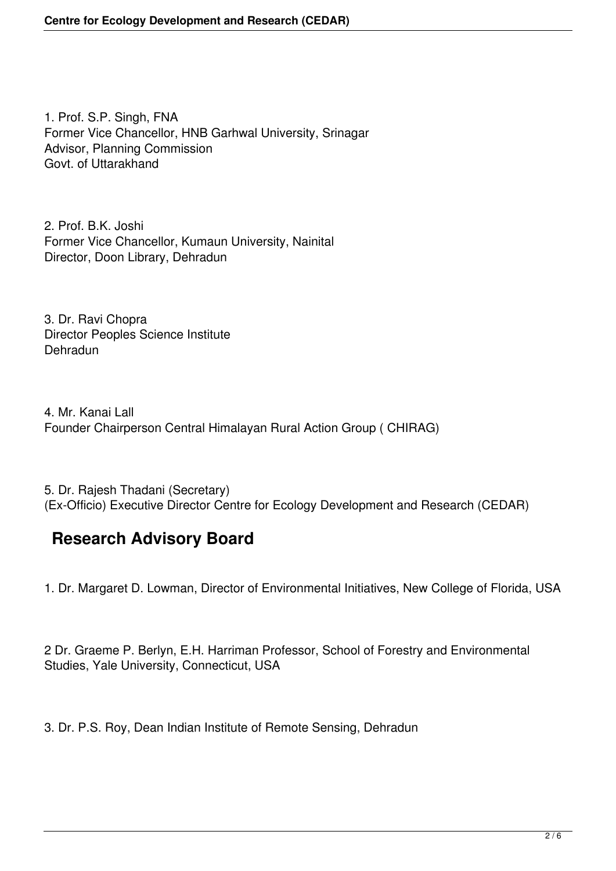1. Prof. S.P. Singh, FNA Former Vice Chancellor, HNB Garhwal University, Srinagar Advisor, Planning Commission Govt. of Uttarakhand

2. Prof. B.K. Joshi Former Vice Chancellor, Kumaun University, Nainital Director, Doon Library, Dehradun

3. Dr. Ravi Chopra Director Peoples Science Institute Dehradun

4. Mr. Kanai Lall Founder Chairperson Central Himalayan Rural Action Group ( CHIRAG)

5. Dr. Rajesh Thadani (Secretary) (Ex-Officio) Executive Director Centre for Ecology Development and Research (CEDAR)

# **Research Advisory Board**

1. Dr. Margaret D. Lowman, Director of Environmental Initiatives, New College of Florida, USA

2 Dr. Graeme P. Berlyn, E.H. Harriman Professor, School of Forestry and Environmental Studies, Yale University, Connecticut, USA

3. Dr. P.S. Roy, Dean Indian Institute of Remote Sensing, Dehradun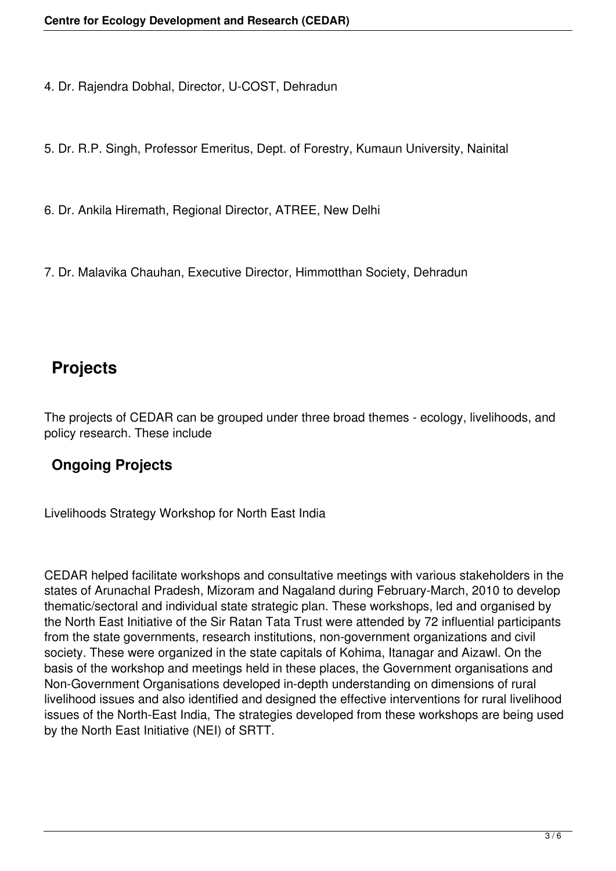4. Dr. Rajendra Dobhal, Director, U-COST, Dehradun

5. Dr. R.P. Singh, Professor Emeritus, Dept. of Forestry, Kumaun University, Nainital

6. Dr. Ankila Hiremath, Regional Director, ATREE, New Delhi

7. Dr. Malavika Chauhan, Executive Director, Himmotthan Society, Dehradun

## **Projects**

The projects of CEDAR can be grouped under three broad themes - ecology, livelihoods, and policy research. These include

#### **Ongoing Projects**

Livelihoods Strategy Workshop for North East India

CEDAR helped facilitate workshops and consultative meetings with various stakeholders in the states of Arunachal Pradesh, Mizoram and Nagaland during February-March, 2010 to develop thematic/sectoral and individual state strategic plan. These workshops, led and organised by the North East Initiative of the Sir Ratan Tata Trust were attended by 72 influential participants from the state governments, research institutions, non-government organizations and civil society. These were organized in the state capitals of Kohima, Itanagar and Aizawl. On the basis of the workshop and meetings held in these places, the Government organisations and Non-Government Organisations developed in-depth understanding on dimensions of rural livelihood issues and also identified and designed the effective interventions for rural livelihood issues of the North-East India, The strategies developed from these workshops are being used by the North East Initiative (NEI) of SRTT.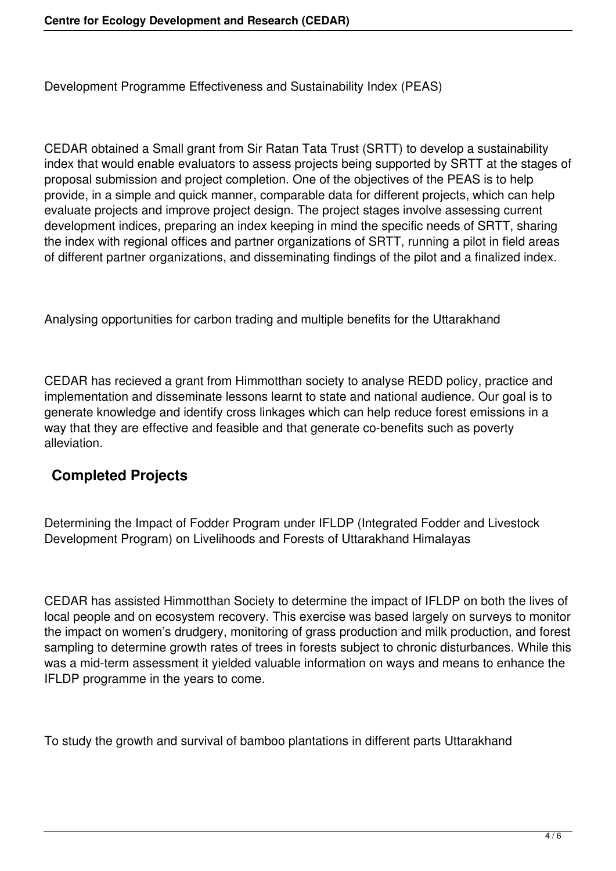Development Programme Effectiveness and Sustainability Index (PEAS)

CEDAR obtained a Small grant from Sir Ratan Tata Trust (SRTT) to develop a sustainability index that would enable evaluators to assess projects being supported by SRTT at the stages of proposal submission and project completion. One of the objectives of the PEAS is to help provide, in a simple and quick manner, comparable data for different projects, which can help evaluate projects and improve project design. The project stages involve assessing current development indices, preparing an index keeping in mind the specific needs of SRTT, sharing the index with regional offices and partner organizations of SRTT, running a pilot in field areas of different partner organizations, and disseminating findings of the pilot and a finalized index.

Analysing opportunities for carbon trading and multiple benefits for the Uttarakhand

CEDAR has recieved a grant from Himmotthan society to analyse REDD policy, practice and implementation and disseminate lessons learnt to state and national audience. Our goal is to generate knowledge and identify cross linkages which can help reduce forest emissions in a way that they are effective and feasible and that generate co-benefits such as poverty alleviation.

### **Completed Projects**

Determining the Impact of Fodder Program under IFLDP (Integrated Fodder and Livestock Development Program) on Livelihoods and Forests of Uttarakhand Himalayas

CEDAR has assisted Himmotthan Society to determine the impact of IFLDP on both the lives of local people and on ecosystem recovery. This exercise was based largely on surveys to monitor the impact on women's drudgery, monitoring of grass production and milk production, and forest sampling to determine growth rates of trees in forests subject to chronic disturbances. While this was a mid-term assessment it yielded valuable information on ways and means to enhance the IFLDP programme in the years to come.

To study the growth and survival of bamboo plantations in different parts Uttarakhand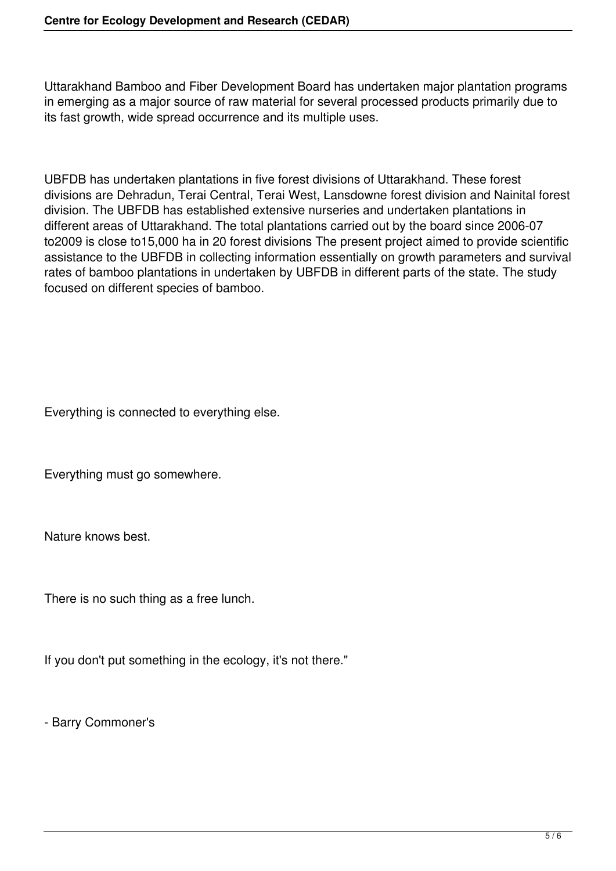Uttarakhand Bamboo and Fiber Development Board has undertaken major plantation programs in emerging as a major source of raw material for several processed products primarily due to its fast growth, wide spread occurrence and its multiple uses.

UBFDB has undertaken plantations in five forest divisions of Uttarakhand. These forest divisions are Dehradun, Terai Central, Terai West, Lansdowne forest division and Nainital forest division. The UBFDB has established extensive nurseries and undertaken plantations in different areas of Uttarakhand. The total plantations carried out by the board since 2006-07 to2009 is close to15,000 ha in 20 forest divisions The present project aimed to provide scientific assistance to the UBFDB in collecting information essentially on growth parameters and survival rates of bamboo plantations in undertaken by UBFDB in different parts of the state. The study focused on different species of bamboo.

Everything is connected to everything else.

Everything must go somewhere.

Nature knows best.

There is no such thing as a free lunch.

If you don't put something in the ecology, it's not there."

- Barry Commoner's